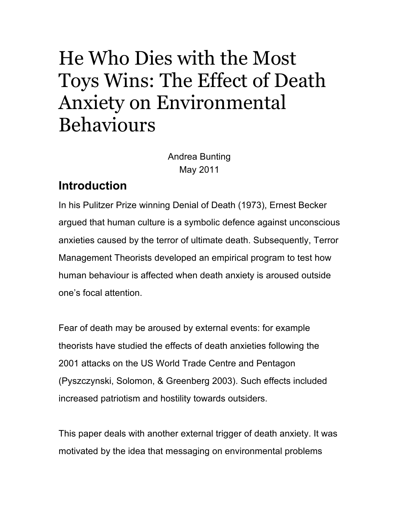# He Who Dies with the Most Toys Wins: The Effect of Death Anxiety on Environmental Behaviours

Andrea Bunting May 2011

## **Introduction**

In his Pulitzer Prize winning Denial of Death (1973), Ernest Becker argued that human culture is a symbolic defence against unconscious anxieties caused by the terror of ultimate death. Subsequently, Terror Management Theorists developed an empirical program to test how human behaviour is affected when death anxiety is aroused outside one's focal attention.

Fear of death may be aroused by external events: for example theorists have studied the effects of death anxieties following the 2001 attacks on the US World Trade Centre and Pentagon (Pyszczynski, Solomon, & Greenberg 2003). Such effects included increased patriotism and hostility towards outsiders.

This paper deals with another external trigger of death anxiety. It was motivated by the idea that messaging on environmental problems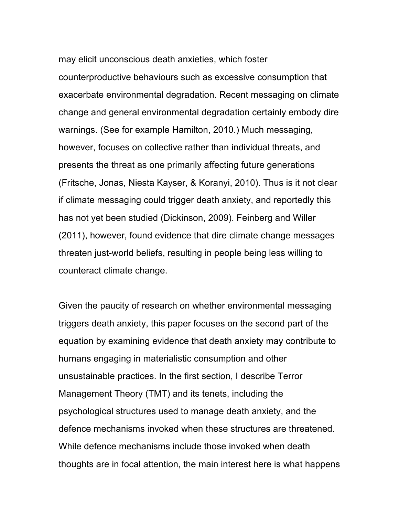may elicit unconscious death anxieties, which foster counterproductive behaviours such as excessive consumption that exacerbate environmental degradation. Recent messaging on climate change and general environmental degradation certainly embody dire warnings. (See for example Hamilton, 2010.) Much messaging, however, focuses on collective rather than individual threats, and presents the threat as one primarily affecting future generations (Fritsche, Jonas, Niesta Kayser, & Koranyi, 2010). Thus is it not clear if climate messaging could trigger death anxiety, and reportedly this has not yet been studied (Dickinson, 2009). Feinberg and Willer (2011), however, found evidence that dire climate change messages threaten just-world beliefs, resulting in people being less willing to counteract climate change.

Given the paucity of research on whether environmental messaging triggers death anxiety, this paper focuses on the second part of the equation by examining evidence that death anxiety may contribute to humans engaging in materialistic consumption and other unsustainable practices. In the first section, I describe Terror Management Theory (TMT) and its tenets, including the psychological structures used to manage death anxiety, and the defence mechanisms invoked when these structures are threatened. While defence mechanisms include those invoked when death thoughts are in focal attention, the main interest here is what happens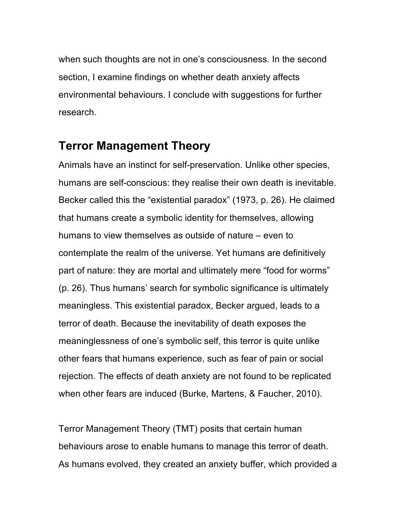when such thoughts are not in one's consciousness. In the second section, I examine findings on whether death anxiety affects environmental behaviours. I conclude with suggestions for further research.

#### **Terror Management Theory**

Animals have an instinct for self-preservation. Unlike other species, humans are self-conscious: they realise their own death is inevitable. Becker called this the "existential paradox" (1973, p. 26). He claimed that humans create a symbolic identity for themselves, allowing humans to view themselves as outside of nature – even to contemplate the realm of the universe. Yet humans are definitively part of nature: they are mortal and ultimately mere "food for worms" (p. 26). Thus humans' search for symbolic significance is ultimately meaningless. This existential paradox, Becker argued, leads to a terror of death. Because the inevitability of death exposes the meaninglessness of one's symbolic self, this terror is quite unlike other fears that humans experience, such as fear of pain or social rejection. The effects of death anxiety are not found to be replicated when other fears are induced (Burke, Martens, & Faucher, 2010).

Terror Management Theory (TMT) posits that certain human behaviours arose to enable humans to manage this terror of death. As humans evolved, they created an anxiety buffer, which provided a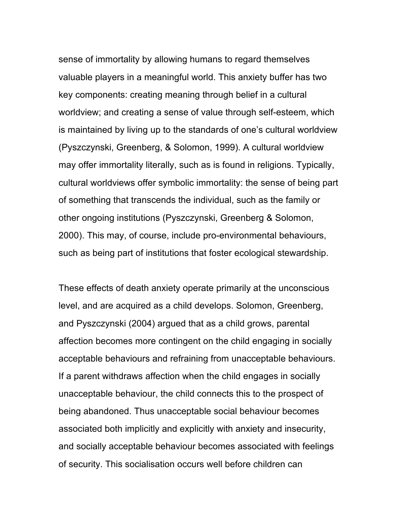sense of immortality by allowing humans to regard themselves valuable players in a meaningful world. This anxiety buffer has two key components: creating meaning through belief in a cultural worldview; and creating a sense of value through self-esteem, which is maintained by living up to the standards of one's cultural worldview (Pyszczynski, Greenberg, & Solomon, 1999). A cultural worldview may offer immortality literally, such as is found in religions. Typically, cultural worldviews offer symbolic immortality: the sense of being part of something that transcends the individual, such as the family or other ongoing institutions (Pyszczynski, Greenberg & Solomon, 2000). This may, of course, include pro-environmental behaviours, such as being part of institutions that foster ecological stewardship.

These effects of death anxiety operate primarily at the unconscious level, and are acquired as a child develops. Solomon, Greenberg, and Pyszczynski (2004) argued that as a child grows, parental affection becomes more contingent on the child engaging in socially acceptable behaviours and refraining from unacceptable behaviours. If a parent withdraws affection when the child engages in socially unacceptable behaviour, the child connects this to the prospect of being abandoned. Thus unacceptable social behaviour becomes associated both implicitly and explicitly with anxiety and insecurity, and socially acceptable behaviour becomes associated with feelings of security. This socialisation occurs well before children can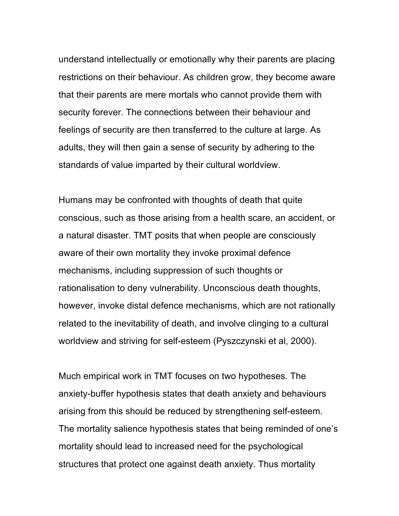understand intellectually or emotionally why their parents are placing restrictions on their behaviour. As children grow, they become aware that their parents are mere mortals who cannot provide them with security forever. The connections between their behaviour and feelings of security are then transferred to the culture at large. As adults, they will then gain a sense of security by adhering to the standards of value imparted by their cultural worldview.

Humans may be confronted with thoughts of death that quite conscious, such as those arising from a health scare, an accident, or a natural disaster. TMT posits that when people are consciously aware of their own mortality they invoke proximal defence mechanisms, including suppression of such thoughts or rationalisation to deny vulnerability. Unconscious death thoughts, however, invoke distal defence mechanisms, which are not rationally related to the inevitability of death, and involve clinging to a cultural worldview and striving for self-esteem (Pyszczynski et al, 2000).

Much empirical work in TMT focuses on two hypotheses. The anxiety-buffer hypothesis states that death anxiety and behaviours arising from this should be reduced by strengthening self-esteem. The mortality salience hypothesis states that being reminded of one's mortality should lead to increased need for the psychological structures that protect one against death anxiety. Thus mortality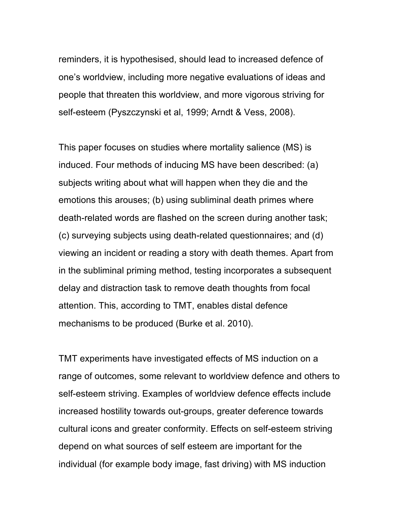reminders, it is hypothesised, should lead to increased defence of one's worldview, including more negative evaluations of ideas and people that threaten this worldview, and more vigorous striving for self-esteem (Pyszczynski et al, 1999; Arndt & Vess, 2008).

This paper focuses on studies where mortality salience (MS) is induced. Four methods of inducing MS have been described: (a) subjects writing about what will happen when they die and the emotions this arouses; (b) using subliminal death primes where death-related words are flashed on the screen during another task; (c) surveying subjects using death-related questionnaires; and (d) viewing an incident or reading a story with death themes. Apart from in the subliminal priming method, testing incorporates a subsequent delay and distraction task to remove death thoughts from focal attention. This, according to TMT, enables distal defence mechanisms to be produced (Burke et al. 2010).

TMT experiments have investigated effects of MS induction on a range of outcomes, some relevant to worldview defence and others to self-esteem striving. Examples of worldview defence effects include increased hostility towards out-groups, greater deference towards cultural icons and greater conformity. Effects on self-esteem striving depend on what sources of self esteem are important for the individual (for example body image, fast driving) with MS induction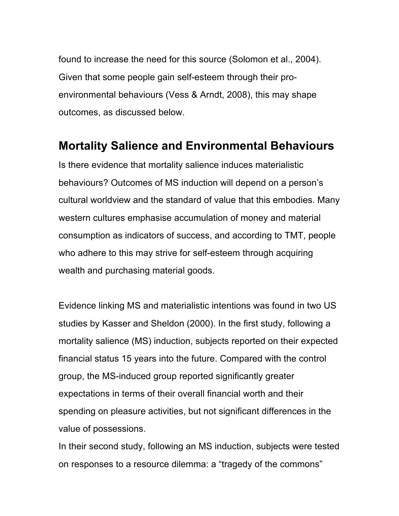found to increase the need for this source (Solomon et al., 2004). Given that some people gain self-esteem through their proenvironmental behaviours (Vess & Arndt, 2008), this may shape outcomes, as discussed below.

#### **Mortality Salience and Environmental Behaviours**

Is there evidence that mortality salience induces materialistic behaviours? Outcomes of MS induction will depend on a person's cultural worldview and the standard of value that this embodies. Many western cultures emphasise accumulation of money and material consumption as indicators of success, and according to TMT, people who adhere to this may strive for self-esteem through acquiring wealth and purchasing material goods.

Evidence linking MS and materialistic intentions was found in two US studies by Kasser and Sheldon (2000). In the first study, following a mortality salience (MS) induction, subjects reported on their expected financial status 15 years into the future. Compared with the control group, the MS-induced group reported significantly greater expectations in terms of their overall financial worth and their spending on pleasure activities, but not significant differences in the value of possessions.

In their second study, following an MS induction, subjects were tested on responses to a resource dilemma: a "tragedy of the commons"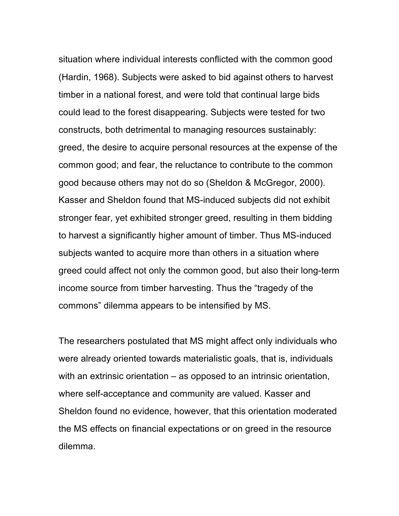situation where individual interests conflicted with the common good (Hardin, 1968). Subjects were asked to bid against others to harvest timber in a national forest, and were told that continual large bids could lead to the forest disappearing. Subjects were tested for two constructs, both detrimental to managing resources sustainably: greed, the desire to acquire personal resources at the expense of the common good; and fear, the reluctance to contribute to the common good because others may not do so (Sheldon & McGregor, 2000). Kasser and Sheldon found that MS-induced subjects did not exhibit stronger fear, yet exhibited stronger greed, resulting in them bidding to harvest a significantly higher amount of timber. Thus MS-induced subjects wanted to acquire more than others in a situation where greed could affect not only the common good, but also their long-term income source from timber harvesting. Thus the "tragedy of the commons" dilemma appears to be intensified by MS.

The researchers postulated that MS might affect only individuals who were already oriented towards materialistic goals, that is, individuals with an extrinsic orientation – as opposed to an intrinsic orientation, where self-acceptance and community are valued. Kasser and Sheldon found no evidence, however, that this orientation moderated the MS effects on financial expectations or on greed in the resource dilemma.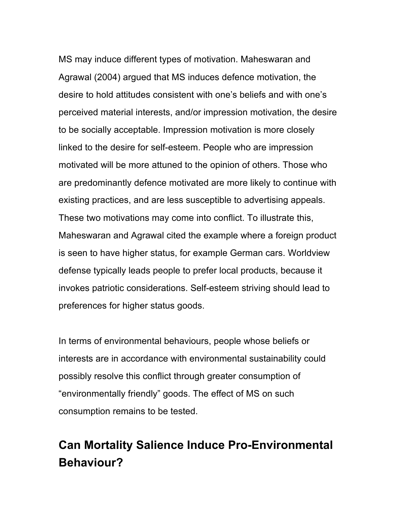MS may induce different types of motivation. Maheswaran and Agrawal (2004) argued that MS induces defence motivation, the desire to hold attitudes consistent with one's beliefs and with one's perceived material interests, and/or impression motivation, the desire to be socially acceptable. Impression motivation is more closely linked to the desire for self-esteem. People who are impression motivated will be more attuned to the opinion of others. Those who are predominantly defence motivated are more likely to continue with existing practices, and are less susceptible to advertising appeals. These two motivations may come into conflict. To illustrate this, Maheswaran and Agrawal cited the example where a foreign product is seen to have higher status, for example German cars. Worldview defense typically leads people to prefer local products, because it invokes patriotic considerations. Self-esteem striving should lead to preferences for higher status goods.

In terms of environmental behaviours, people whose beliefs or interests are in accordance with environmental sustainability could possibly resolve this conflict through greater consumption of "environmentally friendly" goods. The effect of MS on such consumption remains to be tested.

# **Can Mortality Salience Induce Pro-Environmental Behaviour?**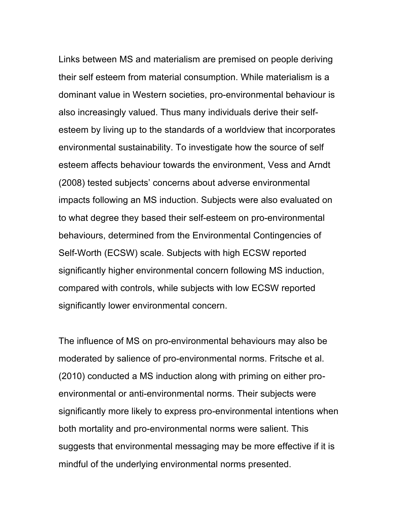Links between MS and materialism are premised on people deriving their self esteem from material consumption. While materialism is a dominant value in Western societies, pro-environmental behaviour is also increasingly valued. Thus many individuals derive their selfesteem by living up to the standards of a worldview that incorporates environmental sustainability. To investigate how the source of self esteem affects behaviour towards the environment, Vess and Arndt (2008) tested subjects' concerns about adverse environmental impacts following an MS induction. Subjects were also evaluated on to what degree they based their self-esteem on pro-environmental behaviours, determined from the Environmental Contingencies of Self-Worth (ECSW) scale. Subjects with high ECSW reported significantly higher environmental concern following MS induction, compared with controls, while subjects with low ECSW reported significantly lower environmental concern.

The influence of MS on pro-environmental behaviours may also be moderated by salience of pro-environmental norms. Fritsche et al. (2010) conducted a MS induction along with priming on either proenvironmental or anti-environmental norms. Their subjects were significantly more likely to express pro-environmental intentions when both mortality and pro-environmental norms were salient. This suggests that environmental messaging may be more effective if it is mindful of the underlying environmental norms presented.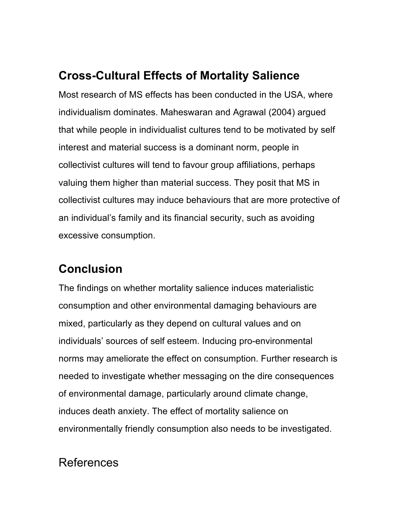# **Cross-Cultural Effects of Mortality Salience**

Most research of MS effects has been conducted in the USA, where individualism dominates. Maheswaran and Agrawal (2004) argued that while people in individualist cultures tend to be motivated by self interest and material success is a dominant norm, people in collectivist cultures will tend to favour group affiliations, perhaps valuing them higher than material success. They posit that MS in collectivist cultures may induce behaviours that are more protective of an individual's family and its financial security, such as avoiding excessive consumption.

## **Conclusion**

The findings on whether mortality salience induces materialistic consumption and other environmental damaging behaviours are mixed, particularly as they depend on cultural values and on individuals' sources of self esteem. Inducing pro-environmental norms may ameliorate the effect on consumption. Further research is needed to investigate whether messaging on the dire consequences of environmental damage, particularly around climate change, induces death anxiety. The effect of mortality salience on environmentally friendly consumption also needs to be investigated.

## References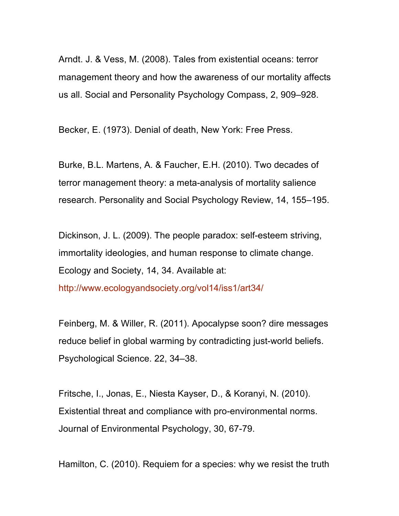Arndt. J. & Vess, M. (2008). Tales from existential oceans: terror management theory and how the awareness of our mortality affects us all. Social and Personality Psychology Compass, 2, 909–928.

Becker, E. (1973). Denial of death, New York: Free Press.

Burke, B.L. Martens, A. & Faucher, E.H. (2010). Two decades of terror management theory: a meta-analysis of mortality salience research. Personality and Social Psychology Review, 14, 155–195.

Dickinson, J. L. (2009). The people paradox: self-esteem striving, immortality ideologies, and human response to climate change. Ecology and Society, 14, 34. Available at:

http://www.ecologyandsociety.org/vol14/iss1/art34/

Feinberg, M. & Willer, R. (2011). Apocalypse soon? dire messages reduce belief in global warming by contradicting just-world beliefs. Psychological Science. 22, 34–38.

Fritsche, I., Jonas, E., Niesta Kayser, D., & Koranyi, N. (2010). Existential threat and compliance with pro-environmental norms. Journal of Environmental Psychology, 30, 67-79.

Hamilton, C. (2010). Requiem for a species: why we resist the truth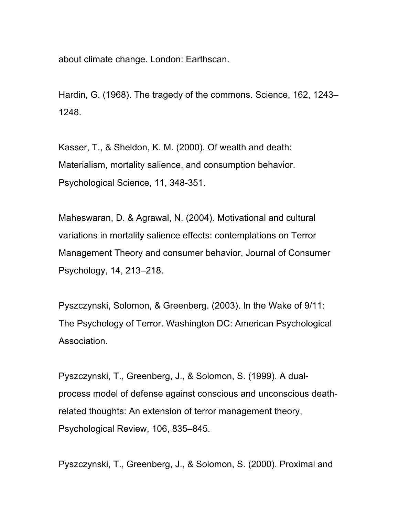about climate change. London: Earthscan.

Hardin, G. (1968). The tragedy of the commons. Science, 162, 1243– 1248.

Kasser, T., & Sheldon, K. M. (2000). Of wealth and death: Materialism, mortality salience, and consumption behavior. Psychological Science, 11, 348-351.

Maheswaran, D. & Agrawal, N. (2004). Motivational and cultural variations in mortality salience effects: contemplations on Terror Management Theory and consumer behavior, Journal of Consumer Psychology, 14, 213–218.

Pyszczynski, Solomon, & Greenberg. (2003). In the Wake of 9/11: The Psychology of Terror. Washington DC: American Psychological Association.

Pyszczynski, T., Greenberg, J., & Solomon, S. (1999). A dualprocess model of defense against conscious and unconscious deathrelated thoughts: An extension of terror management theory, Psychological Review, 106, 835–845.

Pyszczynski, T., Greenberg, J., & Solomon, S. (2000). Proximal and